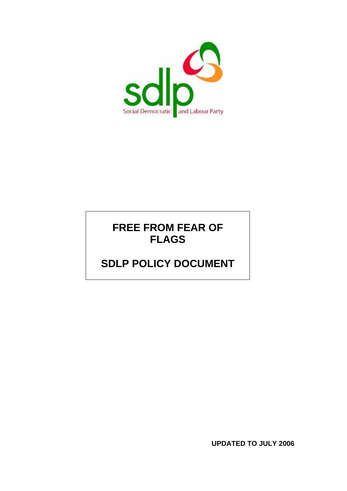

## **FREE FROM FEAR OF FLAGS**

# **SDLP POLICY DOCUMENT**

**UPDATED TO JULY 2006**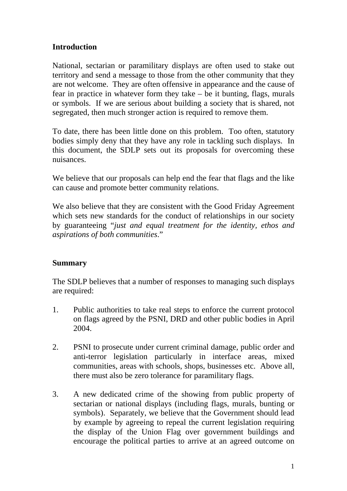## **Introduction**

National, sectarian or paramilitary displays are often used to stake out territory and send a message to those from the other community that they are not welcome. They are often offensive in appearance and the cause of fear in practice in whatever form they take – be it bunting, flags, murals or symbols. If we are serious about building a society that is shared, not segregated, then much stronger action is required to remove them.

To date, there has been little done on this problem. Too often, statutory bodies simply deny that they have any role in tackling such displays. In this document, the SDLP sets out its proposals for overcoming these nuisances.

We believe that our proposals can help end the fear that flags and the like can cause and promote better community relations.

We also believe that they are consistent with the Good Friday Agreement which sets new standards for the conduct of relationships in our society by guaranteeing "*just and equal treatment for the identity, ethos and aspirations of both communities*."

## **Summary**

The SDLP believes that a number of responses to managing such displays are required:

- 1. Public authorities to take real steps to enforce the current protocol on flags agreed by the PSNI, DRD and other public bodies in April 2004.
- 2. PSNI to prosecute under current criminal damage, public order and anti-terror legislation particularly in interface areas, mixed communities, areas with schools, shops, businesses etc. Above all, there must also be zero tolerance for paramilitary flags.
- 3. A new dedicated crime of the showing from public property of sectarian or national displays (including flags, murals, bunting or symbols). Separately, we believe that the Government should lead by example by agreeing to repeal the current legislation requiring the display of the Union Flag over government buildings and encourage the political parties to arrive at an agreed outcome on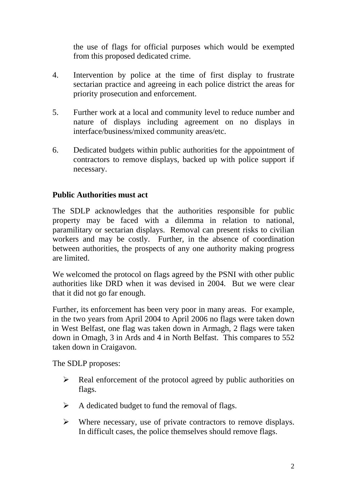the use of flags for official purposes which would be exempted from this proposed dedicated crime.

- 4. Intervention by police at the time of first display to frustrate sectarian practice and agreeing in each police district the areas for priority prosecution and enforcement.
- 5. Further work at a local and community level to reduce number and nature of displays including agreement on no displays in interface/business/mixed community areas/etc.
- 6. Dedicated budgets within public authorities for the appointment of contractors to remove displays, backed up with police support if necessary.

#### **Public Authorities must act**

The SDLP acknowledges that the authorities responsible for public property may be faced with a dilemma in relation to national, paramilitary or sectarian displays. Removal can present risks to civilian workers and may be costly. Further, in the absence of coordination between authorities, the prospects of any one authority making progress are limited.

We welcomed the protocol on flags agreed by the PSNI with other public authorities like DRD when it was devised in 2004. But we were clear that it did not go far enough.

Further, its enforcement has been very poor in many areas. For example, in the two years from April 2004 to April 2006 no flags were taken down in West Belfast, one flag was taken down in Armagh, 2 flags were taken down in Omagh, 3 in Ards and 4 in North Belfast. This compares to 552 taken down in Craigavon.

The SDLP proposes:

- $\triangleright$  Real enforcement of the protocol agreed by public authorities on flags.
- $\triangleright$  A dedicated budget to fund the removal of flags.
- $\triangleright$  Where necessary, use of private contractors to remove displays. In difficult cases, the police themselves should remove flags.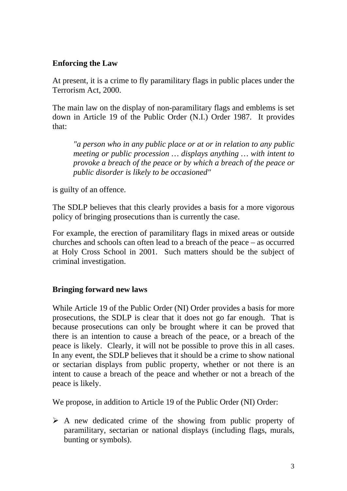## **Enforcing the Law**

At present, it is a crime to fly paramilitary flags in public places under the Terrorism Act, 2000.

The main law on the display of non-paramilitary flags and emblems is set down in Article 19 of the Public Order (N.I.) Order 1987. It provides that:

*"a person who in any public place or at or in relation to any public meeting or public procession … displays anything … with intent to provoke a breach of the peace or by which a breach of the peace or public disorder is likely to be occasioned"* 

is guilty of an offence.

The SDLP believes that this clearly provides a basis for a more vigorous policy of bringing prosecutions than is currently the case.

For example, the erection of paramilitary flags in mixed areas or outside churches and schools can often lead to a breach of the peace – as occurred at Holy Cross School in 2001. Such matters should be the subject of criminal investigation.

## **Bringing forward new laws**

While Article 19 of the Public Order (NI) Order provides a basis for more prosecutions, the SDLP is clear that it does not go far enough. That is because prosecutions can only be brought where it can be proved that there is an intention to cause a breach of the peace, or a breach of the peace is likely. Clearly, it will not be possible to prove this in all cases. In any event, the SDLP believes that it should be a crime to show national or sectarian displays from public property, whether or not there is an intent to cause a breach of the peace and whether or not a breach of the peace is likely.

We propose, in addition to Article 19 of the Public Order (NI) Order:

 $\triangleright$  A new dedicated crime of the showing from public property of paramilitary, sectarian or national displays (including flags, murals, bunting or symbols).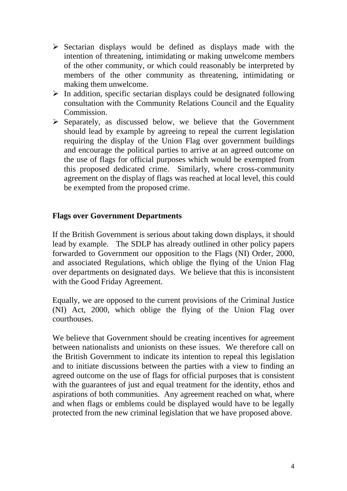- $\triangleright$  Sectarian displays would be defined as displays made with the intention of threatening, intimidating or making unwelcome members of the other community, or which could reasonably be interpreted by members of the other community as threatening, intimidating or making them unwelcome.
- $\triangleright$  In addition, specific sectarian displays could be designated following consultation with the Community Relations Council and the Equality Commission.
- $\triangleright$  Separately, as discussed below, we believe that the Government should lead by example by agreeing to repeal the current legislation requiring the display of the Union Flag over government buildings and encourage the political parties to arrive at an agreed outcome on the use of flags for official purposes which would be exempted from this proposed dedicated crime. Similarly, where cross-community agreement on the display of flags was reached at local level, this could be exempted from the proposed crime.

#### **Flags over Government Departments**

If the British Government is serious about taking down displays, it should lead by example. The SDLP has already outlined in other policy papers forwarded to Government our opposition to the Flags (NI) Order, 2000, and associated Regulations, which oblige the flying of the Union Flag over departments on designated days. We believe that this is inconsistent with the Good Friday Agreement.

Equally, we are opposed to the current provisions of the Criminal Justice (NI) Act, 2000, which oblige the flying of the Union Flag over courthouses.

We believe that Government should be creating incentives for agreement between nationalists and unionists on these issues. We therefore call on the British Government to indicate its intention to repeal this legislation and to initiate discussions between the parties with a view to finding an agreed outcome on the use of flags for official purposes that is consistent with the guarantees of just and equal treatment for the identity, ethos and aspirations of both communities. Any agreement reached on what, where and when flags or emblems could be displayed would have to be legally protected from the new criminal legislation that we have proposed above.